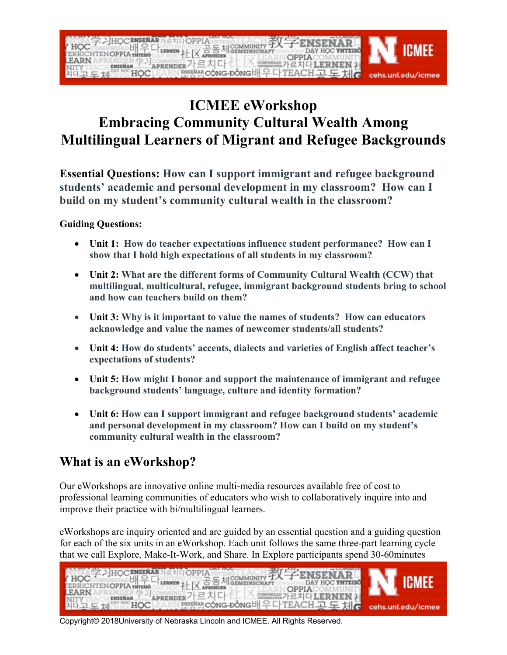

## **ICMEE eWorkshop Embracing Community Cultural Wealth Among Multilingual Learners of Migrant and Refugee Backgrounds**

**Essential Questions: How can I support immigrant and refugee background students' academic and personal development in my classroom? How can I build on my student's community cultural wealth in the classroom?**

## **Guiding Questions:**

- **Unit 1: How do teacher expectations influence student performance? How can I show that I hold high expectations of all students in my classroom?**
- **Unit 2: What are the different forms of Community Cultural Wealth (CCW) that multilingual, multicultural, refugee, immigrant background students bring to school and how can teachers build on them?**
- **Unit 3: Why is it important to value the names of students? How can educators acknowledge and value the names of newcomer students/all students?**
- **Unit 4: How do students' accents, dialects and varieties of English affect teacher's expectations of students?**
- **Unit 5: How might I honor and support the maintenance of immigrant and refugee background students' language, culture and identity formation?**
- **Unit 6: How can I support immigrant and refugee background students' academic and personal development in my classroom? How can I build on my student's community cultural wealth in the classroom?**

## **What is an eWorkshop?**

Our eWorkshops are innovative online multi-media resources available free of cost to professional learning communities of educators who wish to collaboratively inquire into and improve their practice with bi/multilingual learners.

eWorkshops are inquiry oriented and are guided by an essential question and a guiding question for each of the six units in an eWorkshop. Each unit follows the same three-part learning cycle that we call Explore, Make-It-Work, and Share. In Explore participants spend 30-60minutes



Copyright© 2018University of Nebraska Lincoln and ICMEE. All Rights Reserved.